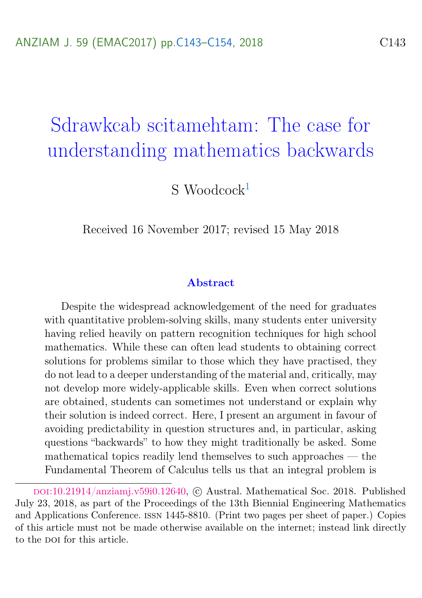# <span id="page-0-0"></span>Sdrawkcab scitamehtam: The case for understanding mathematics backwards

 $S$  Woodcock<sup>[1](#page-11-0)</sup>

Received 16 November 2017; revised 15 May 2018

#### Abstract

Despite the widespread acknowledgement of the need for graduates with quantitative problem-solving skills, many students enter university having relied heavily on pattern recognition techniques for high school mathematics. While these can often lead students to obtaining correct solutions for problems similar to those which they have practised, they do not lead to a deeper understanding of the material and, critically, may not develop more widely-applicable skills. Even when correct solutions are obtained, students can sometimes not understand or explain why their solution is indeed correct. Here, I present an argument in favour of avoiding predictability in question structures and, in particular, asking questions "backwards" to how they might traditionally be asked. Some mathematical topics readily lend themselves to such approaches — the Fundamental Theorem of Calculus tells us that an integral problem is

DOI:[10.21914/anziamj.v59i0.12640,](https://doi.org/10.21914/anziamj.v59i0.12640) © Austral. Mathematical Soc. 2018. Published July 23, 2018, as part of the Proceedings of the 13th Biennial Engineering Mathematics and Applications Conference. issn 1445-8810. (Print two pages per sheet of paper.) Copies of this article must not be made otherwise available on the internet; instead link directly to the pot for this article.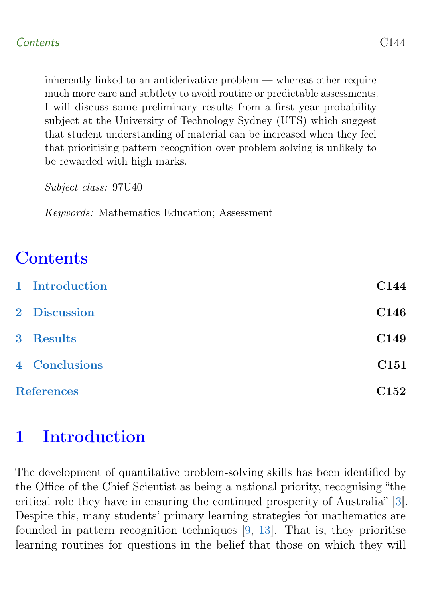<span id="page-1-1"></span>inherently linked to an antiderivative problem — whereas other require much more care and subtlety to avoid routine or predictable assessments. I will discuss some preliminary results from a first year probability subject at the University of Technology Sydney (UTS) which suggest that student understanding of material can be increased when they feel that prioritising pattern recognition over problem solving is unlikely to be rewarded with high marks.

Subject class: 97U40

Keywords: Mathematics Education; Assessment

## **Contents**

|                   | 1 Introduction | C144             |
|-------------------|----------------|------------------|
|                   | 2 Discussion   | C146             |
|                   | 3 Results      | C149             |
|                   | 4 Conclusions  | C <sub>151</sub> |
| <b>References</b> |                |                  |

# <span id="page-1-0"></span>1 Introduction

The development of quantitative problem-solving skills has been identified by the Office of the Chief Scientist as being a national priority, recognising "the critical role they have in ensuring the continued prosperity of Australia" [\[3\]](#page-9-1). Despite this, many students' primary learning strategies for mathematics are founded in pattern recognition techniques [\[9,](#page-10-0) [13\]](#page-11-1). That is, they prioritise learning routines for questions in the belief that those on which they will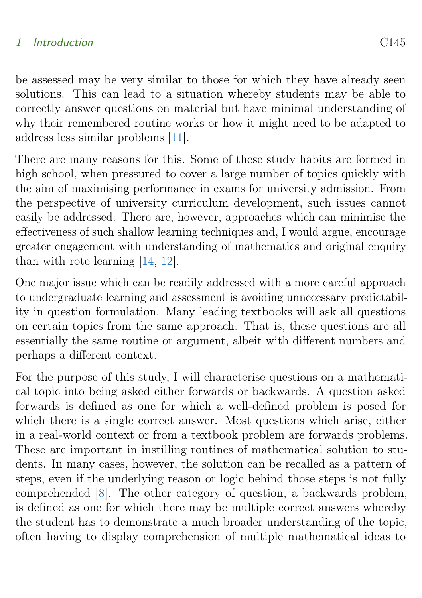### <span id="page-2-0"></span>1 Introduction C145

be assessed may be very similar to those for which they have already seen solutions. This can lead to a situation whereby students may be able to correctly answer questions on material but have minimal understanding of why their remembered routine works or how it might need to be adapted to address less similar problems [\[11\]](#page-10-1).

There are many reasons for this. Some of these study habits are formed in high school, when pressured to cover a large number of topics quickly with the aim of maximising performance in exams for university admission. From the perspective of university curriculum development, such issues cannot easily be addressed. There are, however, approaches which can minimise the effectiveness of such shallow learning techniques and, I would argue, encourage greater engagement with understanding of mathematics and original enquiry than with rote learning [\[14,](#page-11-2) [12\]](#page-11-3).

One major issue which can be readily addressed with a more careful approach to undergraduate learning and assessment is avoiding unnecessary predictability in question formulation. Many leading textbooks will ask all questions on certain topics from the same approach. That is, these questions are all essentially the same routine or argument, albeit with different numbers and perhaps a different context.

For the purpose of this study, I will characterise questions on a mathematical topic into being asked either forwards or backwards. A question asked forwards is defined as one for which a well-defined problem is posed for which there is a single correct answer. Most questions which arise, either in a real-world context or from a textbook problem are forwards problems. These are important in instilling routines of mathematical solution to students. In many cases, however, the solution can be recalled as a pattern of steps, even if the underlying reason or logic behind those steps is not fully comprehended [\[8\]](#page-10-2). The other category of question, a backwards problem, is defined as one for which there may be multiple correct answers whereby the student has to demonstrate a much broader understanding of the topic, often having to display comprehension of multiple mathematical ideas to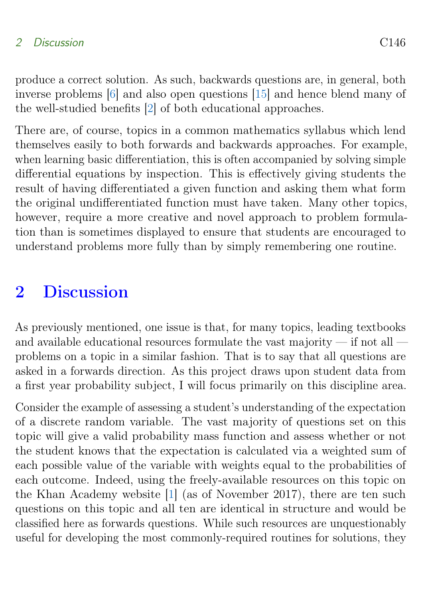### <span id="page-3-1"></span>2 Discussion C146

produce a correct solution. As such, backwards questions are, in general, both inverse problems [\[6\]](#page-10-3) and also open questions [\[15\]](#page-11-4) and hence blend many of the well-studied benefits [\[2\]](#page-9-2) of both educational approaches.

There are, of course, topics in a common mathematics syllabus which lend themselves easily to both forwards and backwards approaches. For example, when learning basic differentiation, this is often accompanied by solving simple differential equations by inspection. This is effectively giving students the result of having differentiated a given function and asking them what form the original undifferentiated function must have taken. Many other topics, however, require a more creative and novel approach to problem formulation than is sometimes displayed to ensure that students are encouraged to understand problems more fully than by simply remembering one routine.

### <span id="page-3-0"></span>2 Discussion

As previously mentioned, one issue is that, for many topics, leading textbooks and available educational resources formulate the vast majority — if not all problems on a topic in a similar fashion. That is to say that all questions are asked in a forwards direction. As this project draws upon student data from a first year probability subject, I will focus primarily on this discipline area.

Consider the example of assessing a student's understanding of the expectation of a discrete random variable. The vast majority of questions set on this topic will give a valid probability mass function and assess whether or not the student knows that the expectation is calculated via a weighted sum of each possible value of the variable with weights equal to the probabilities of each outcome. Indeed, using the freely-available resources on this topic on the Khan Academy website [\[1\]](#page-9-3) (as of November 2017), there are ten such questions on this topic and all ten are identical in structure and would be classified here as forwards questions. While such resources are unquestionably useful for developing the most commonly-required routines for solutions, they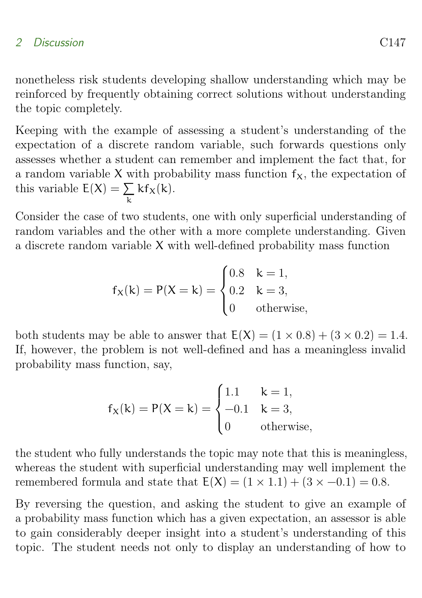#### 2 Discussion C147

nonetheless risk students developing shallow understanding which may be reinforced by frequently obtaining correct solutions without understanding the topic completely.

Keeping with the example of assessing a student's understanding of the expectation of a discrete random variable, such forwards questions only assesses whether a student can remember and implement the fact that, for a random variable X with probability mass function  $f<sub>X</sub>$ , the expectation of this variable  $E(X) = \sum$ k  $kf_X(k)$ .

Consider the case of two students, one with only superficial understanding of random variables and the other with a more complete understanding. Given a discrete random variable X with well-defined probability mass function

$$
f_X(k) = P(X = k) =
$$
\n
$$
\begin{cases}\n0.8 & k = 1, \\
0.2 & k = 3, \\
0 & \text{otherwise,} \n\end{cases}
$$

both students may be able to answer that  $E(X) = (1 \times 0.8) + (3 \times 0.2) = 1.4$ . If, however, the problem is not well-defined and has a meaningless invalid probability mass function, say,

$$
f_X(k) = P(X = k) = \begin{cases} 1.1 & k = 1, \\ -0.1 & k = 3, \\ 0 & \text{otherwise,} \end{cases}
$$

the student who fully understands the topic may note that this is meaningless, whereas the student with superficial understanding may well implement the remembered formula and state that  $E(X) = (1 \times 1.1) + (3 \times -0.1) = 0.8$ .

By reversing the question, and asking the student to give an example of a probability mass function which has a given expectation, an assessor is able to gain considerably deeper insight into a student's understanding of this topic. The student needs not only to display an understanding of how to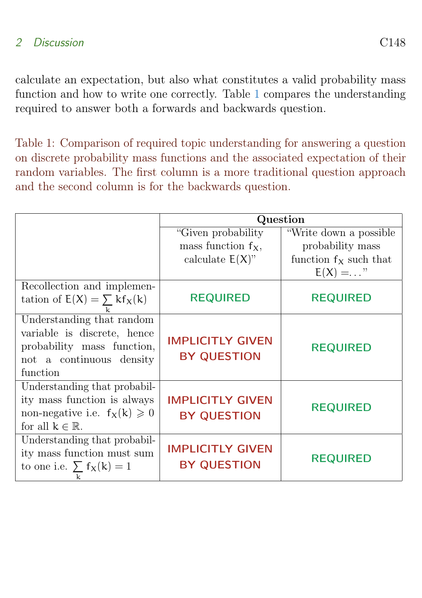calculate an expectation, but also what constitutes a valid probability mass function and how to write one correctly. Table [1](#page-5-1) compares the understanding required to answer both a forwards and backwards question.

<span id="page-5-1"></span>Table 1: Comparison of required topic understanding for answering a question on discrete probability mass functions and the associated expectation of their random variables. The first column is a more traditional question approach and the second column is for the backwards question.

<span id="page-5-0"></span>

|                                                                                                                                  | Question                                      |                          |  |  |  |
|----------------------------------------------------------------------------------------------------------------------------------|-----------------------------------------------|--------------------------|--|--|--|
|                                                                                                                                  | "Given probability"                           | "Write down a possible"  |  |  |  |
|                                                                                                                                  | mass function $f_X$ ,                         | probability mass         |  |  |  |
|                                                                                                                                  | calculate $E(X)$ "                            | function $f_X$ such that |  |  |  |
|                                                                                                                                  |                                               | $E(X) = $ "              |  |  |  |
| Recollection and implemen-                                                                                                       |                                               |                          |  |  |  |
| tation of $E(X) = \sum k f_X(k)$                                                                                                 | <b>REQUIRED</b>                               | <b>REQUIRED</b>          |  |  |  |
| Understanding that random<br>variable is discrete, hence<br>probability mass function,<br>not a continuous density<br>function   | <b>IMPLICITLY GIVEN</b><br><b>BY QUESTION</b> | <b>REQUIRED</b>          |  |  |  |
| Understanding that probabil-<br>ity mass function is always<br>non-negative i.e. $f_X(k) \geq 0$<br>for all $k \in \mathbb{R}$ . | <b>IMPLICITLY GIVEN</b><br><b>BY QUESTION</b> | <b>REQUIRED</b>          |  |  |  |
| Understanding that probabil-<br>ity mass function must sum<br>to one i.e. $\sum f_X(k) = 1$<br>k                                 | <b>IMPLICITLY GIVEN</b><br><b>BY QUESTION</b> | <b>REQUIRED</b>          |  |  |  |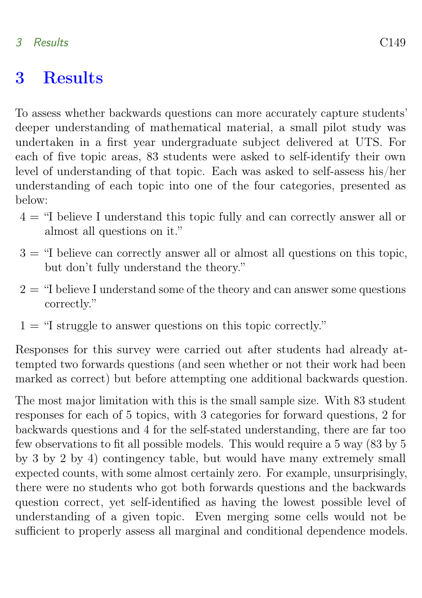### 3 Results C149

### 3 Results

To assess whether backwards questions can more accurately capture students' deeper understanding of mathematical material, a small pilot study was undertaken in a first year undergraduate subject delivered at UTS. For each of five topic areas, 83 students were asked to self-identify their own level of understanding of that topic. Each was asked to self-assess his/her understanding of each topic into one of the four categories, presented as below:

- 4 = "I believe I understand this topic fully and can correctly answer all or almost all questions on it."
- $3 =$  "I believe can correctly answer all or almost all questions on this topic, but don't fully understand the theory."
- $2 =$  "I believe I understand some of the theory and can answer some questions correctly."
- $1 =$  "I struggle to answer questions on this topic correctly."

Responses for this survey were carried out after students had already attempted two forwards questions (and seen whether or not their work had been marked as correct) but before attempting one additional backwards question.

The most major limitation with this is the small sample size. With 83 student responses for each of 5 topics, with 3 categories for forward questions, 2 for backwards questions and 4 for the self-stated understanding, there are far too few observations to fit all possible models. This would require a 5 way (83 by 5 by 3 by 2 by 4) contingency table, but would have many extremely small expected counts, with some almost certainly zero. For example, unsurprisingly, there were no students who got both forwards questions and the backwards question correct, yet self-identified as having the lowest possible level of understanding of a given topic. Even merging some cells would not be sufficient to properly assess all marginal and conditional dependence models.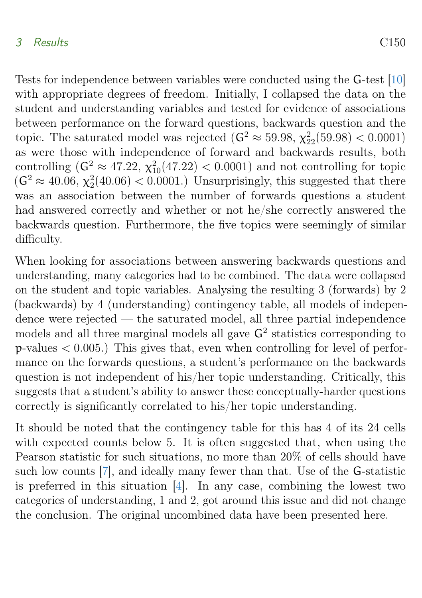#### <span id="page-7-1"></span>3 Results C150

Tests for independence between variables were conducted using the G-test [\[10\]](#page-10-4) with appropriate degrees of freedom. Initially, I collapsed the data on the student and understanding variables and tested for evidence of associations between performance on the forward questions, backwards question and the topic. The saturated model was rejected  $(G^2 \approx 59.98, \chi_{22}^2(59.98) < 0.0001)$ as were those with independence of forward and backwards results, both controlling  $(G^2 \approx 47.22, \chi_{10}^2(47.22) < 0.0001)$  and not controlling for topic  $(G^2 \approx 40.06, \chi_2^2(40.06) < 0.0001$ .) Unsurprisingly, this suggested that there was an association between the number of forwards questions a student had answered correctly and whether or not he/she correctly answered the backwards question. Furthermore, the five topics were seemingly of similar difficulty.

When looking for associations between answering backwards questions and understanding, many categories had to be combined. The data were collapsed on the student and topic variables. Analysing the resulting 3 (forwards) by 2 (backwards) by 4 (understanding) contingency table, all models of independence were rejected — the saturated model, all three partial independence models and all three marginal models all gave  $G<sup>2</sup>$  statistics corresponding to  $p$ -values  $\lt$  0.005.) This gives that, even when controlling for level of performance on the forwards questions, a student's performance on the backwards question is not independent of his/her topic understanding. Critically, this suggests that a student's ability to answer these conceptually-harder questions correctly is significantly correlated to his/her topic understanding.

<span id="page-7-0"></span>It should be noted that the contingency table for this has 4 of its 24 cells with expected counts below 5. It is often suggested that, when using the Pearson statistic for such situations, no more than 20% of cells should have such low counts [\[7\]](#page-10-5), and ideally many fewer than that. Use of the G-statistic is preferred in this situation [\[4\]](#page-10-6). In any case, combining the lowest two categories of understanding, 1 and 2, got around this issue and did not change the conclusion. The original uncombined data have been presented here.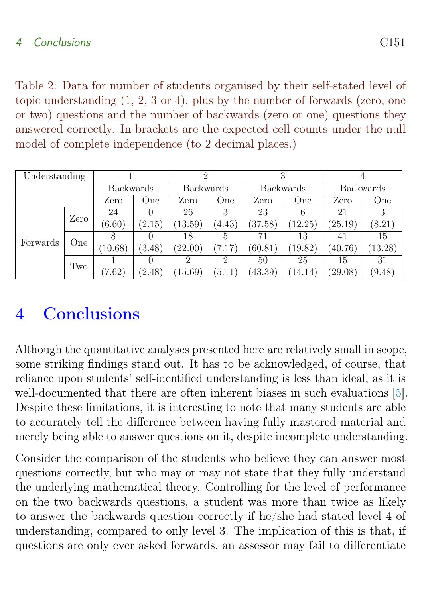<span id="page-8-0"></span>Table 2: Data for number of students organised by their self-stated level of topic understanding (1, 2, 3 or 4), plus by the number of forwards (zero, one or two) questions and the number of backwards (zero or one) questions they answered correctly. In brackets are the expected cell counts under the null model of complete independence (to 2 decimal places.)

| Understanding |      |                  |        |                  |                |                  |         |                  |        |
|---------------|------|------------------|--------|------------------|----------------|------------------|---------|------------------|--------|
|               |      | <b>Backwards</b> |        | <b>Backwards</b> |                | <b>Backwards</b> |         | <b>Backwards</b> |        |
|               |      | Zero             | One    | Zero             | One            | Zero             | One     | Zero             | One    |
|               | Zero | 24               |        | 26               | 3              | 23               | 6       | 21               | 3      |
|               |      | (6.60)           | (2.15) | (13.59)          | (4.43)         | (37.58)          | (12.25) | (25.19)          | (8.21) |
| Forwards      | One  |                  |        | 18               | 5              | 71               | 13      | 41               | 15     |
|               |      | (10.68)          | (3.48) | (22.00)          | (7.17)         | (60.81)          | (19.82) | (40.76)          | 13.28) |
|               | Two  |                  |        |                  | $\overline{2}$ | 50               | 25      | 15               | 31     |
|               |      | (7.62)           | (2.48) | 15.69)           | (5.11)         | (43.39)          | (14.14) | (29.08)          | (9.48) |

# 4 Conclusions

Although the quantitative analyses presented here are relatively small in scope, some striking findings stand out. It has to be acknowledged, of course, that reliance upon students' self-identified understanding is less than ideal, as it is well-documented that there are often inherent biases in such evaluations [\[5\]](#page-10-7). Despite these limitations, it is interesting to note that many students are able to accurately tell the difference between having fully mastered material and merely being able to answer questions on it, despite incomplete understanding.

Consider the comparison of the students who believe they can answer most questions correctly, but who may or may not state that they fully understand the underlying mathematical theory. Controlling for the level of performance on the two backwards questions, a student was more than twice as likely to answer the backwards question correctly if he/she had stated level 4 of understanding, compared to only level 3. The implication of this is that, if questions are only ever asked forwards, an assessor may fail to differentiate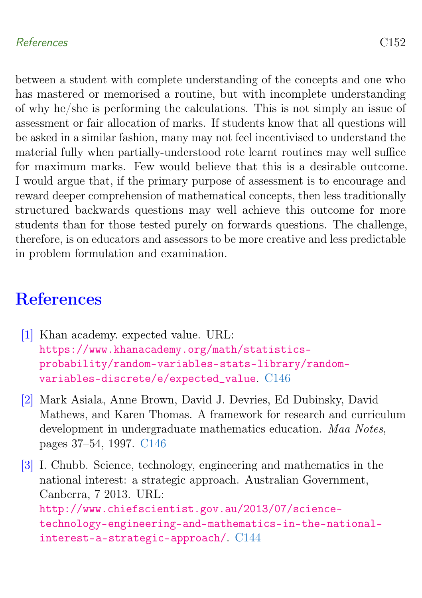### References C152

between a student with complete understanding of the concepts and one who has mastered or memorised a routine, but with incomplete understanding of why he/she is performing the calculations. This is not simply an issue of assessment or fair allocation of marks. If students know that all questions will be asked in a similar fashion, many may not feel incentivised to understand the material fully when partially-understood rote learnt routines may well suffice for maximum marks. Few would believe that this is a desirable outcome. I would argue that, if the primary purpose of assessment is to encourage and reward deeper comprehension of mathematical concepts, then less traditionally structured backwards questions may well achieve this outcome for more students than for those tested purely on forwards questions. The challenge, therefore, is on educators and assessors to be more creative and less predictable in problem formulation and examination.

# <span id="page-9-0"></span>**References**

- <span id="page-9-3"></span>[1] Khan academy. expected value. URL: [https://www.khanacademy.org/math/statistics](https://www.khanacademy.org/math/statistics-probability/random-variables-stats-library/random-variables-discrete/e/expected_value)[probability/random-variables-stats-library/random](https://www.khanacademy.org/math/statistics-probability/random-variables-stats-library/random-variables-discrete/e/expected_value)[variables-discrete/e/expected\\_value](https://www.khanacademy.org/math/statistics-probability/random-variables-stats-library/random-variables-discrete/e/expected_value). [C146](#page-3-1)
- <span id="page-9-2"></span>[2] Mark Asiala, Anne Brown, David J. Devries, Ed Dubinsky, David Mathews, and Karen Thomas. A framework for research and curriculum development in undergraduate mathematics education. Maa Notes, pages 37–54, 1997. [C146](#page-3-1)

<span id="page-9-1"></span>[3] I. Chubb. Science, technology, engineering and mathematics in the national interest: a strategic approach. Australian Government, Canberra, 7 2013. URL: [http://www.chiefscientist.gov.au/2013/07/science](http://www.chiefscientist.gov.au/2013/07/science-technology-engineering-and-mathematics-in-the-national-interest-a-strategic-approach/)[technology-engineering-and-mathematics-in-the-national](http://www.chiefscientist.gov.au/2013/07/science-technology-engineering-and-mathematics-in-the-national-interest-a-strategic-approach/)[interest-a-strategic-approach/](http://www.chiefscientist.gov.au/2013/07/science-technology-engineering-and-mathematics-in-the-national-interest-a-strategic-approach/). [C144](#page-1-1)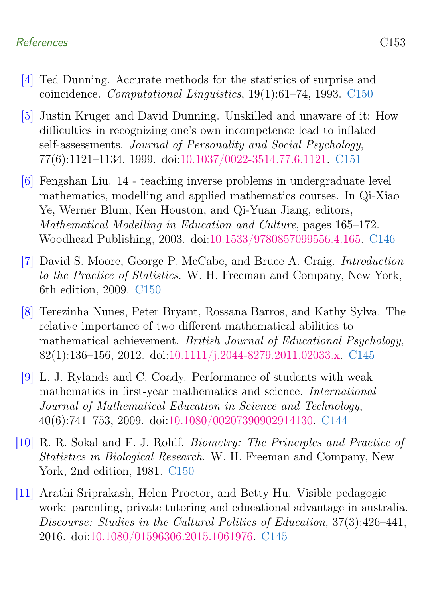### References C153

- <span id="page-10-6"></span>[4] Ted Dunning. Accurate methods for the statistics of surprise and coincidence. Computational Linguistics, 19(1):61–74, 1993. [C150](#page-7-1)
- <span id="page-10-7"></span>[5] Justin Kruger and David Dunning. Unskilled and unaware of it: How difficulties in recognizing one's own incompetence lead to inflated self-assessments. Journal of Personality and Social Psychology, 77(6):1121–1134, 1999. doi[:10.1037/0022-3514.77.6.1121.](https://doi.org/10.1037/0022-3514.77.6.1121) [C151](#page-8-0)
- <span id="page-10-3"></span>[6] Fengshan Liu. 14 - teaching inverse problems in undergraduate level mathematics, modelling and applied mathematics courses. In Qi-Xiao Ye, Werner Blum, Ken Houston, and Qi-Yuan Jiang, editors, Mathematical Modelling in Education and Culture, pages 165–172. Woodhead Publishing, 2003. doi[:10.1533/9780857099556.4.165.](https://doi.org/10.1533/9780857099556.4.165) [C146](#page-3-1)
- <span id="page-10-5"></span>[7] David S. Moore, George P. McCabe, and Bruce A. Craig. Introduction to the Practice of Statistics. W. H. Freeman and Company, New York, 6th edition, 2009. [C150](#page-7-1)
- <span id="page-10-2"></span>[8] Terezinha Nunes, Peter Bryant, Rossana Barros, and Kathy Sylva. The relative importance of two different mathematical abilities to mathematical achievement. British Journal of Educational Psychology, 82(1):136–156, 2012. doi[:10.1111/j.2044-8279.2011.02033.x.](https://doi.org/10.1111/j.2044-8279.2011.02033.x) [C145](#page-2-0)
- <span id="page-10-0"></span>[9] L. J. Rylands and C. Coady. Performance of students with weak mathematics in first-year mathematics and science. International Journal of Mathematical Education in Science and Technology, 40(6):741–753, 2009. doi[:10.1080/00207390902914130.](https://doi.org/10.1080/00207390902914130) [C144](#page-1-1)
- <span id="page-10-4"></span>[10] R. R. Sokal and F. J. Rohlf. Biometry: The Principles and Practice of Statistics in Biological Research. W. H. Freeman and Company, New York, 2nd edition, 1981. [C150](#page-7-1)
- <span id="page-10-1"></span>[11] Arathi Sriprakash, Helen Proctor, and Betty Hu. Visible pedagogic work: parenting, private tutoring and educational advantage in australia. Discourse: Studies in the Cultural Politics of Education, 37(3):426–441, 2016. doi[:10.1080/01596306.2015.1061976.](https://doi.org/10.1080/01596306.2015.1061976) [C145](#page-2-0)